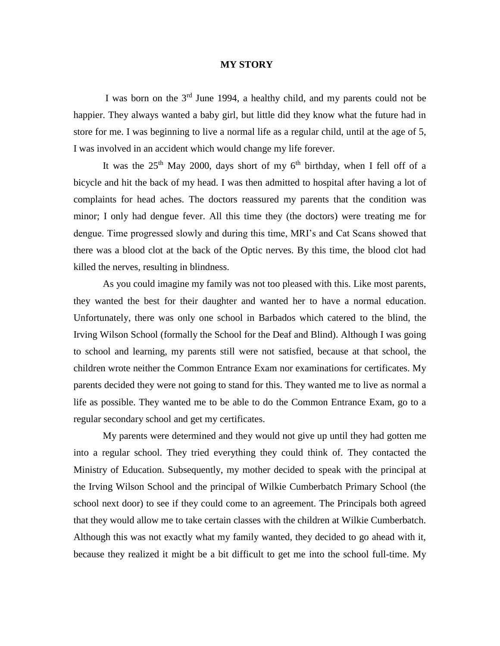## **MY STORY**

I was born on the  $3<sup>rd</sup>$  June 1994, a healthy child, and my parents could not be happier. They always wanted a baby girl, but little did they know what the future had in store for me. I was beginning to live a normal life as a regular child, until at the age of 5, I was involved in an accident which would change my life forever.

It was the  $25<sup>th</sup>$  May 2000, days short of my 6<sup>th</sup> birthday, when I fell off of a bicycle and hit the back of my head. I was then admitted to hospital after having a lot of complaints for head aches. The doctors reassured my parents that the condition was minor; I only had dengue fever. All this time they (the doctors) were treating me for dengue. Time progressed slowly and during this time, MRI's and Cat Scans showed that there was a blood clot at the back of the Optic nerves. By this time, the blood clot had killed the nerves, resulting in blindness.

 As you could imagine my family was not too pleased with this. Like most parents, they wanted the best for their daughter and wanted her to have a normal education. Unfortunately, there was only one school in Barbados which catered to the blind, the Irving Wilson School (formally the School for the Deaf and Blind). Although I was going to school and learning, my parents still were not satisfied, because at that school, the children wrote neither the Common Entrance Exam nor examinations for certificates. My parents decided they were not going to stand for this. They wanted me to live as normal a life as possible. They wanted me to be able to do the Common Entrance Exam, go to a regular secondary school and get my certificates.

 My parents were determined and they would not give up until they had gotten me into a regular school. They tried everything they could think of. They contacted the Ministry of Education. Subsequently, my mother decided to speak with the principal at the Irving Wilson School and the principal of Wilkie Cumberbatch Primary School (the school next door) to see if they could come to an agreement. The Principals both agreed that they would allow me to take certain classes with the children at Wilkie Cumberbatch. Although this was not exactly what my family wanted, they decided to go ahead with it, because they realized it might be a bit difficult to get me into the school full-time. My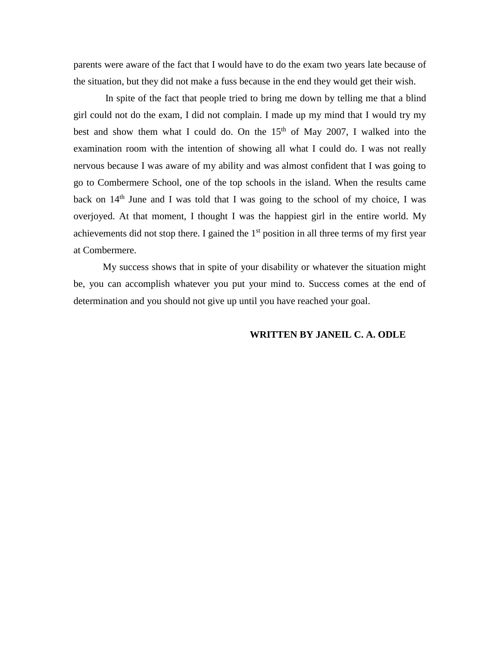parents were aware of the fact that I would have to do the exam two years late because of the situation, but they did not make a fuss because in the end they would get their wish.

In spite of the fact that people tried to bring me down by telling me that a blind girl could not do the exam, I did not complain. I made up my mind that I would try my best and show them what I could do. On the  $15<sup>th</sup>$  of May 2007, I walked into the examination room with the intention of showing all what I could do. I was not really nervous because I was aware of my ability and was almost confident that I was going to go to Combermere School, one of the top schools in the island. When the results came back on  $14<sup>th</sup>$  June and I was told that I was going to the school of my choice, I was overjoyed. At that moment, I thought I was the happiest girl in the entire world. My achievements did not stop there. I gained the  $1<sup>st</sup>$  position in all three terms of my first year at Combermere.

 My success shows that in spite of your disability or whatever the situation might be, you can accomplish whatever you put your mind to. Success comes at the end of determination and you should not give up until you have reached your goal.

## **WRITTEN BY JANEIL C. A. ODLE**